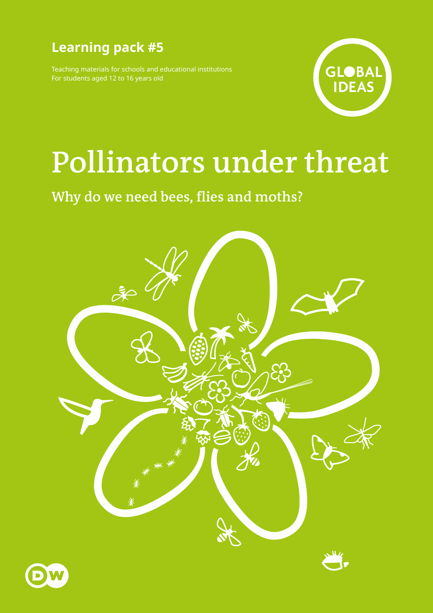## **Learning pack #5**

Teaching materials for schools and educational institutions For students aged 12 to 16 years old



# **Pollinators under threat**

## **Why do we need bees, flies and moths?**



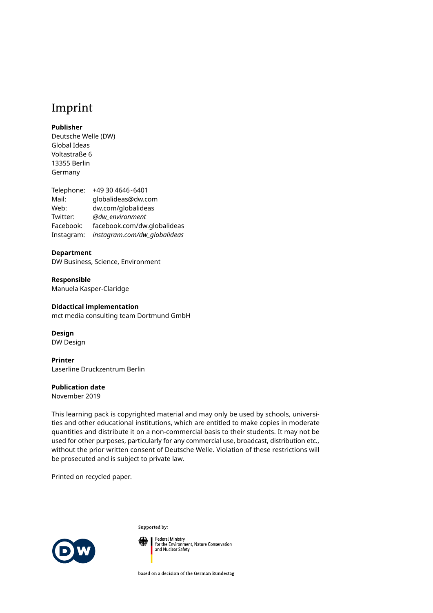### Imprint

#### **Publisher**

Deutsche Welle (DW) Global Ideas Voltastraße 6 13355 Berlin Germany

Telephone: +49 30 4646-6401 Mail: globalideas@dw.com Web: [dw.com/globalideas](http://dw.com/globalideas) Twitter: *[@dw\\_environment](https://twitter.com/dw_environment)* Facebook: [facebook.com/dw.globalideas](http://facebook.com/dw.globalideas) Instagram: *[instagram.com/dw\\_globalideas](http://instagram.com/dw_globalideas)*

#### **Department**

DW Business, Science, Environment

**Responsible** Manuela Kasper-Claridge

#### **Didactical implementation**

mct media consulting team Dortmund GmbH

**Design** DW Design

**Printer** Laserline Druckzentrum Berlin

#### **Publication date**

November 2019

This learning pack is copyrighted material and may only be used by schools, universities and other educational institutions, which are entitled to make copies in moderate quantities and distribute it on a non-commercial basis to their students. It may not be used for other purposes, particularly for any commercial use, broadcast, distribution etc., without the prior written consent of Deutsche Welle. Violation of these restrictions will be prosecuted and is subject to private law.

Printed on recycled paper.



Supported by:

Federal Ministry<br>for the Environment, Nature Conservation<br>and Nuclear Safety

based on a decision of the German Bundestag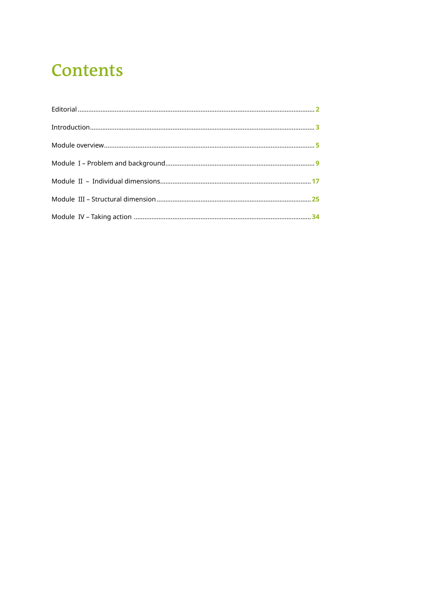## **Contents**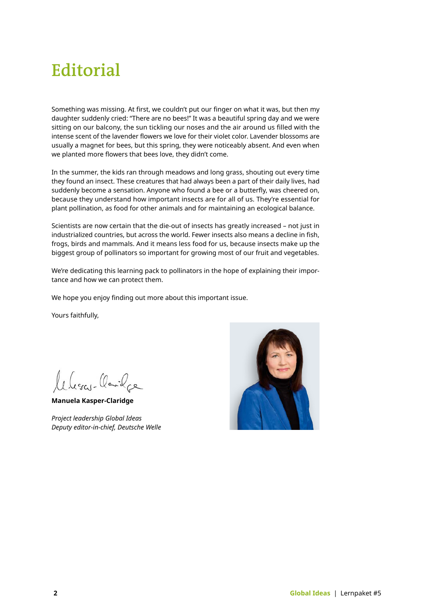## <span id="page-3-0"></span>**Editorial**

Something was missing. At first, we couldn't put our finger on what it was, but then my daughter suddenly cried: "There are no bees!" It was a beautiful spring day and we were sitting on our balcony, the sun tickling our noses and the air around us filled with the intense scent of the lavender flowers we love for their violet color. Lavender blossoms are usually a magnet for bees, but this spring, they were noticeably absent. And even when we planted more flowers that bees love, they didn't come.

In the summer, the kids ran through meadows and long grass, shouting out every time they found an insect. These creatures that had always been a part of their daily lives, had suddenly become a sensation. Anyone who found a bee or a butterfly, was cheered on, because they understand how important insects are for all of us. They're essential for plant pollination, as food for other animals and for maintaining an ecological balance.

Scientists are now certain that the die-out of insects has greatly increased – not just in industrialized countries, but across the world. Fewer insects also means a decline in fish, frogs, birds and mammals. And it means less food for us, because insects make up the biggest group of pollinators so important for growing most of our fruit and vegetables.

We're dedicating this learning pack to pollinators in the hope of explaining their importance and how we can protect them.

We hope you enjoy finding out more about this important issue.

Yours faithfully,

leberge Carilee

**Manuela Kasper-Claridge**

*Project leadership Global Ideas Deputy editor-in-chief, Deutsche Welle* 

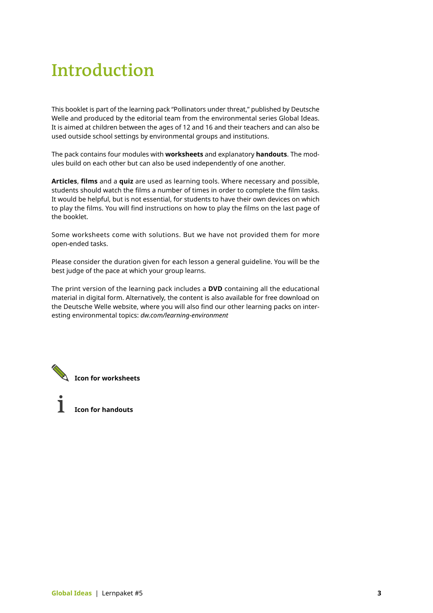## <span id="page-4-0"></span>**Introduction**

This booklet is part of the learning pack "Pollinators under threat," published by Deutsche Welle and produced by the editorial team from the environmental series Global Ideas. It is aimed at children between the ages of 12 and 16 and their teachers and can also be used outside school settings by environmental groups and institutions.

The pack contains four modules with **worksheets** and explanatory **handouts**. The modules build on each other but can also be used independently of one another.

**Articles**, **films** and a **quiz** are used as learning tools. Where necessary and possible, students should watch the films a number of times in order to complete the film tasks. It would be helpful, but is not essential, for students to have their own devices on which to play the films. You will find instructions on how to play the films on the last page of the booklet.

Some worksheets come with solutions. But we have not provided them for more open-ended tasks.

Please consider the duration given for each lesson a general guideline. You will be the best judge of the pace at which your group learns.

The print version of the learning pack includes a **DVD** containing all the educational material in digital form. Alternatively, the content is also available for free download on the Deutsche Welle website, where you will also find our other learning packs on interesting environmental topics: *[dw.com/learning-environment](http://dw.com/learning-environment)* 

**Icon for worksheets**

**Icon for handouts**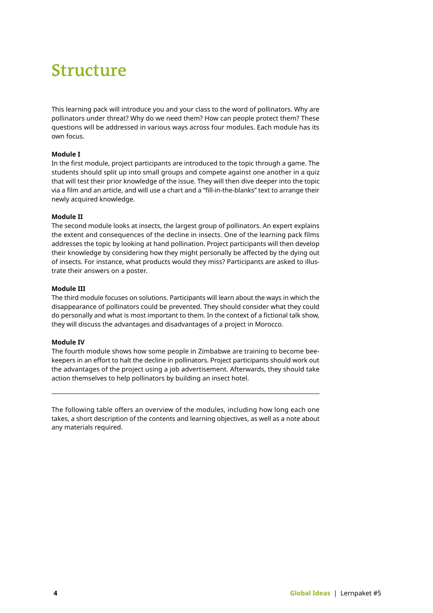## **Structure**

This learning pack will introduce you and your class to the word of pollinators. Why are pollinators under threat? Why do we need them? How can people protect them? These questions will be addressed in various ways across four modules. Each module has its own focus.

#### **Module I**

In the first module, project participants are introduced to the topic through a game. The students should split up into small groups and compete against one another in a quiz that will test their prior knowledge of the issue. They will then dive deeper into the topic via a film and an article, and will use a chart and a "fill-in-the-blanks" text to arrange their newly acquired knowledge.

#### **Module II**

The second module looks at insects, the largest group of pollinators. An expert explains the extent and consequences of the decline in insects. One of the learning pack films addresses the topic by looking at hand pollination. Project participants will then develop their knowledge by considering how they might personally be affected by the dying out of insects. For instance, what products would they miss? Participants are asked to illustrate their answers on a poster.

#### **Module III**

The third module focuses on solutions. Participants will learn about the ways in which the disappearance of pollinators could be prevented. They should consider what they could do personally and what is most important to them. In the context of a fictional talk show, they will discuss the advantages and disadvantages of a project in Morocco.

#### **Module IV**

The fourth module shows how some people in Zimbabwe are training to become beekeepers in an effort to halt the decline in pollinators. Project participants should work out the advantages of the project using a job advertisement. Afterwards, they should take action themselves to help pollinators by building an insect hotel.

The following table offers an overview of the modules, including how long each one takes, a short description of the contents and learning objectives, as well as a note about any materials required.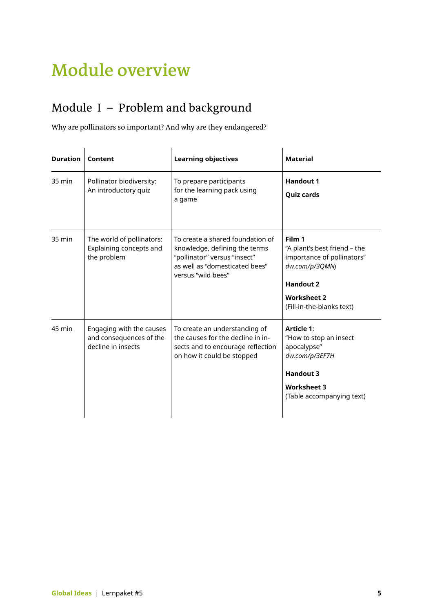## <span id="page-6-0"></span>**Module overview**

### [Module I](#page-9-0) – Problem and background

Why are pollinators so important? And why are they endangered?

| <b>Duration</b> | Content                                                                   | <b>Learning objectives</b>                                                                                                                                | <b>Material</b>                                                                                                                                               |
|-----------------|---------------------------------------------------------------------------|-----------------------------------------------------------------------------------------------------------------------------------------------------------|---------------------------------------------------------------------------------------------------------------------------------------------------------------|
| 35 min          | Pollinator biodiversity:<br>An introductory quiz                          | To prepare participants<br>for the learning pack using<br>a game                                                                                          | <b>Handout 1</b><br><b>Quiz cards</b>                                                                                                                         |
| 35 min          | The world of pollinators:<br>Explaining concepts and<br>the problem       | To create a shared foundation of<br>knowledge, defining the terms<br>"pollinator" versus "insect"<br>as well as "domesticated bees"<br>versus "wild bees" | Film 1<br>"A plant's best friend - the<br>importance of pollinators"<br>dw.com/p/3QMNj<br><b>Handout 2</b><br><b>Worksheet 2</b><br>(Fill-in-the-blanks text) |
| 45 min          | Engaging with the causes<br>and consequences of the<br>decline in insects | To create an understanding of<br>the causes for the decline in in-<br>sects and to encourage reflection<br>on how it could be stopped                     | <b>Article 1:</b><br>"How to stop an insect<br>apocalypse"<br>dw.com/p/3EF7H<br><b>Handout 3</b><br><b>Worksheet 3</b><br>(Table accompanying text)           |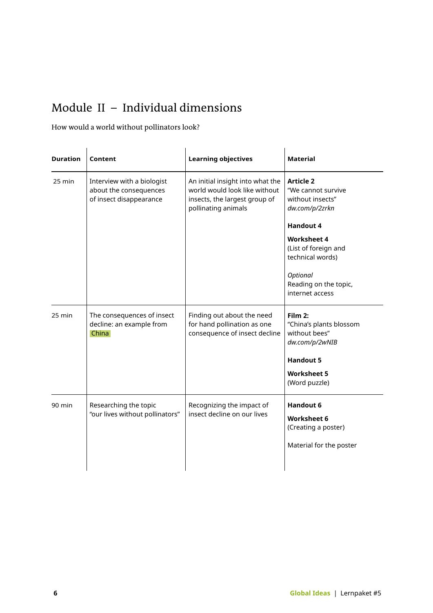### [Module II](#page-20-0) – Individual dimensions

How would a world without pollinators look?

| <b>Duration</b> | Content                                                                         | <b>Learning objectives</b>                                                                                                | <b>Material</b>                                                                          |
|-----------------|---------------------------------------------------------------------------------|---------------------------------------------------------------------------------------------------------------------------|------------------------------------------------------------------------------------------|
| 25 min          | Interview with a biologist<br>about the consequences<br>of insect disappearance | An initial insight into what the<br>world would look like without<br>insects, the largest group of<br>pollinating animals | <b>Article 2</b><br>"We cannot survive<br>without insects"<br>dw.com/p/2zrkn             |
|                 |                                                                                 |                                                                                                                           | <b>Handout 4</b>                                                                         |
|                 |                                                                                 |                                                                                                                           | <b>Worksheet 4</b><br>(List of foreign and<br>technical words)                           |
|                 |                                                                                 |                                                                                                                           | Optional<br>Reading on the topic,<br>internet access                                     |
| 25 min          | The consequences of insect<br>decline: an example from<br>China                 | Finding out about the need<br>for hand pollination as one<br>consequence of insect decline                                | Film 2:<br>"China's plants blossom<br>without bees"<br>dw.com/p/2wNIB                    |
|                 |                                                                                 |                                                                                                                           | <b>Handout 5</b>                                                                         |
|                 |                                                                                 |                                                                                                                           | <b>Worksheet 5</b><br>(Word puzzle)                                                      |
| 90 min          | Researching the topic<br>"our lives without pollinators"                        | Recognizing the impact of<br>insect decline on our lives                                                                  | <b>Handout 6</b><br><b>Worksheet 6</b><br>(Creating a poster)<br>Material for the poster |
|                 |                                                                                 |                                                                                                                           |                                                                                          |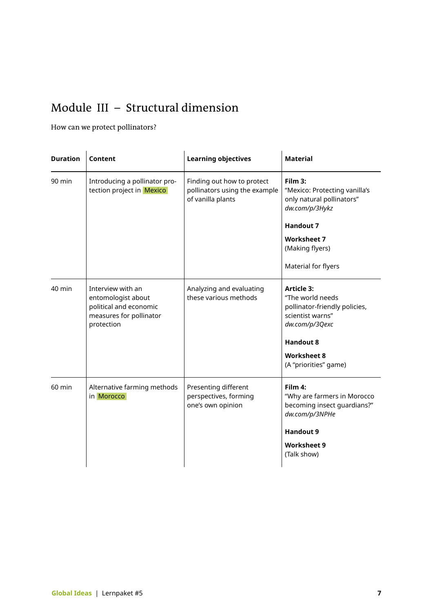### [Module III](#page-32-0) – Structural dimension

### How can we protect pollinators?

| <b>Duration</b> | Content                                                                                                    | <b>Learning objectives</b>                                                       | <b>Material</b>                                                                                                                                        |
|-----------------|------------------------------------------------------------------------------------------------------------|----------------------------------------------------------------------------------|--------------------------------------------------------------------------------------------------------------------------------------------------------|
| $90$ min        | Introducing a pollinator pro-<br>tection project in Mexico                                                 | Finding out how to protect<br>pollinators using the example<br>of vanilla plants | Film 3:<br>"Mexico: Protecting vanilla's<br>only natural pollinators"<br>dw.com/p/3Hykz<br><b>Handout 7</b>                                            |
|                 |                                                                                                            |                                                                                  | <b>Worksheet 7</b><br>(Making flyers)<br>Material for flyers                                                                                           |
| 40 min          | Interview with an<br>entomologist about<br>political and economic<br>measures for pollinator<br>protection | Analyzing and evaluating<br>these various methods                                | <b>Article 3:</b><br>"The world needs<br>pollinator-friendly policies,<br>scientist warns"<br>dw.com/p/3Qexc<br><b>Handout 8</b><br><b>Worksheet 8</b> |
|                 |                                                                                                            |                                                                                  | (A "priorities" game)                                                                                                                                  |
| 60 min          | Alternative farming methods<br>in Morocco                                                                  | Presenting different<br>perspectives, forming<br>one's own opinion               | Film 4:<br>"Why are farmers in Morocco<br>becoming insect guardians?"<br>dw.com/p/3NPHe                                                                |
|                 |                                                                                                            |                                                                                  | <b>Handout 9</b>                                                                                                                                       |
|                 |                                                                                                            |                                                                                  | <b>Worksheet 9</b><br>(Talk show)                                                                                                                      |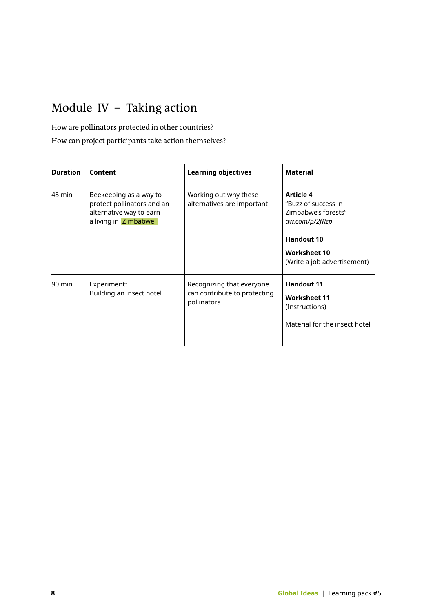### <span id="page-9-0"></span>Module IV – Taking action

How are pollinators protected in other countries?

How can project participants take action themselves?

| <b>Duration</b> | Content                                                                                                 | <b>Learning objectives</b>                                               | <b>Material</b>                                                                                                                                      |
|-----------------|---------------------------------------------------------------------------------------------------------|--------------------------------------------------------------------------|------------------------------------------------------------------------------------------------------------------------------------------------------|
| 45 min          | Beekeeping as a way to<br>protect pollinators and an<br>alternative way to earn<br>a living in Zimbabwe | Working out why these<br>alternatives are important                      | <b>Article 4</b><br>"Buzz of success in<br>Zimbabwe's forests"<br>dw.com/p/2fRzp<br><b>Handout 10</b><br>Worksheet 10<br>(Write a job advertisement) |
| 90 min          | Experiment:<br>Building an insect hotel                                                                 | Recognizing that everyone<br>can contribute to protecting<br>pollinators | <b>Handout 11</b><br><b>Worksheet 11</b><br>(Instructions)<br>Material for the insect hotel                                                          |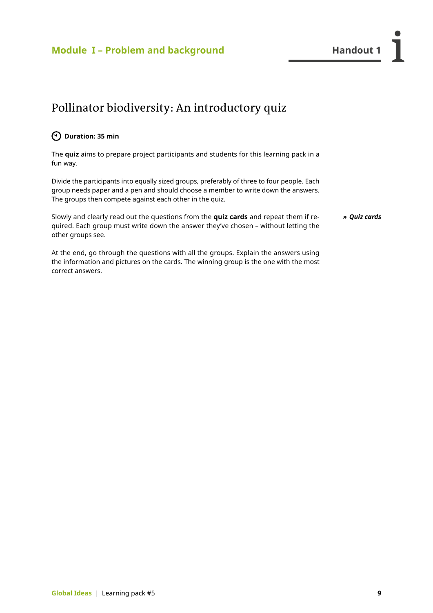### <span id="page-10-0"></span>**Module I – Problem and background The Contract Handout 1**

### Pollinator biodiversity: An introductory quiz

### **Duration: 35 min**

correct answers.

The **quiz** aims to prepare project participants and students for this learning pack in a fun way.

Divide the participants into equally sized groups, preferably of three to four people. Each group needs paper and a pen and should choose a member to write down the answers. The groups then compete against each other in the quiz.

Slowly and clearly read out the questions from the **quiz cards** and repeat them if required. Each group must write down the answer they've chosen – without letting the *» Quiz cards* 

other groups see. At the end, go through the questions with all the groups. Explain the answers using the information and pictures on the cards. The winning group is the one with the most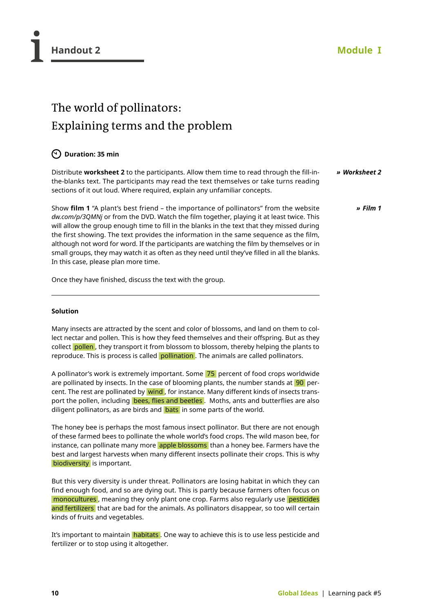*» [Film 1](http://dw.com/p/3QMNj)*

### The world of pollinators: Explaining terms and the problem

### **Duration: 35 min**

Distribute **worksheet 2** to the participants. Allow them time to read through the fill-inthe-blanks text. The participants may read the text themselves or take turns reading sections of it out loud. Where required, explain any unfamiliar concepts. *» Worksheet 2*

Show **film 1** "A plant's best friend – the importance of pollinators" from the website *[dw.com/p/3QMNj](http://dw.com/p/3QMNj)* or from the DVD. Watch the film together, playing it at least twice. This will allow the group enough time to fill in the blanks in the text that they missed during the first showing. The text provides the information in the same sequence as the film, although not word for word. If the participants are watching the film by themselves or in small groups, they may watch it as often as they need until they've filled in all the blanks. In this case, please plan more time.

Once they have finished, discuss the text with the group.

### **Solution**

Many insects are attracted by the scent and color of blossoms, and land on them to collect nectar and pollen. This is how they feed themselves and their offspring. But as they collect pollen, they transport it from blossom to blossom, thereby helping the plants to reproduce. This is process is called pollination . The animals are called pollinators.

A pollinator's work is extremely important. Some 75 percent of food crops worldwide are pollinated by insects. In the case of blooming plants, the number stands at  $90$  percent. The rest are pollinated by wind, for instance. Many different kinds of insects transport the pollen, including bees, flies and beetles . Moths, ants and butterflies are also diligent pollinators, as are birds and **bats** in some parts of the world.

The honey bee is perhaps the most famous insect pollinator. But there are not enough of these farmed bees to pollinate the whole world's food crops. The wild mason bee, for instance, can pollinate many more apple blossoms than a honey bee. Farmers have the best and largest harvests when many different insects pollinate their crops. This is why biodiversity is important.

But this very diversity is under threat. Pollinators are losing habitat in which they can find enough food, and so are dying out. This is partly because farmers often focus on monocultures , meaning they only plant one crop. Farms also regularly use pesticides and fertilizers that are bad for the animals. As pollinators disappear, so too will certain kinds of fruits and vegetables.

It's important to maintain **habitats** . One way to achieve this is to use less pesticide and fertilizer or to stop using it altogether.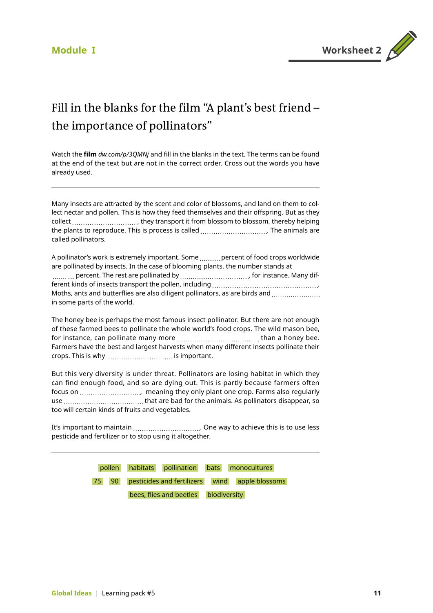

### Fill in the blanks for the film "A plant's best friend – the importance of pollinators"

Watch the **film** *[dw.com/p/3QMNj](http://dw.com/p/3QMNj)* and fill in the blanks in the text. The terms can be found at the end of the text but are not in the correct order. Cross out the words you have already used.

Many insects are attracted by the scent and color of blossoms, and land on them to collect nectar and pollen. This is how they feed themselves and their offspring. But as they collect  $\ldots$  ,  $\ldots$  they transport it from blossom to blossom, thereby helping the plants to reproduce. This is process is called . The animals are called pollinators.

A pollinator's work is extremely important. Some .......... percent of food crops worldwide are pollinated by insects. In the case of blooming plants, the number stands at percent. The rest are pollinated by , for instance. Many different kinds of insects transport the pollen, including . Moths, ants and butterflies are also diligent pollinators, as are birds and ........................ in some parts of the world.

The honey bee is perhaps the most famous insect pollinator. But there are not enough of these farmed bees to pollinate the whole world's food crops. The wild mason bee, for instance, can pollinate many more than a honey bee. Farmers have the best and largest harvests when many different insects pollinate their crops. This is why .................................. is important.

But this very diversity is under threat. Pollinators are losing habitat in which they can find enough food, and so are dying out. This is partly because farmers often focus on , meaning they only plant one crop. Farms also regularly use that are bad for the animals. As pollinators disappear, so too will certain kinds of fruits and vegetables.

It's important to maintain .................................. One way to achieve this is to use less pesticide and fertilizer or to stop using it altogether.

> pollen habitats pollination bats monocultures 75 90 pesticides and fertilizers wind apple blossoms bees, flies and beetles biodiversity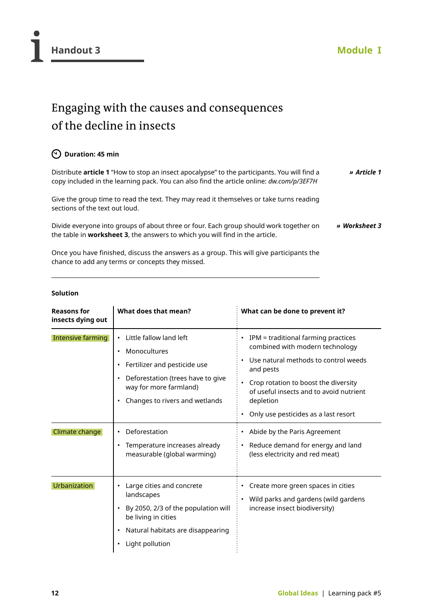### Engaging with the causes and consequences of the decline in insects

### **Duration: 45 min**

Distribute **article 1** "How to stop an insect apocalypse" to the participants. You will find a copy included in the learning pack. You can also find the article online: *[dw.com/p/3EF7H](http://dw.com/p/3EF7H) » [Article 1](http://dw.com/p/3EF7H)*

Give the group time to read the text. They may read it themselves or take turns reading sections of the text out loud.

Divide everyone into groups of about three or four. Each group should work together on the table in **worksheet 3**, the answers to which you will find in the article. *» Worksheet 3*

Once you have finished, discuss the answers as a group. This will give participants the chance to add any terms or concepts they missed.

### **Solution**

| <b>Reasons for</b><br>insects dying out    | What does that mean?                                                                                                                                                                                                                                                                                                                         | What can be done to prevent it?                                                                                                                                                                                                                                                                                                                                                                                    |
|--------------------------------------------|----------------------------------------------------------------------------------------------------------------------------------------------------------------------------------------------------------------------------------------------------------------------------------------------------------------------------------------------|--------------------------------------------------------------------------------------------------------------------------------------------------------------------------------------------------------------------------------------------------------------------------------------------------------------------------------------------------------------------------------------------------------------------|
| <b>Intensive farming</b><br>Climate change | Little fallow land left<br>$\bullet$<br>Monocultures<br>$\bullet$<br>Fertilizer and pesticide use<br>$\bullet$<br>Deforestation (trees have to give<br>$\bullet$<br>way for more farmland)<br>Changes to rivers and wetlands<br>$\bullet$<br>Deforestation<br>$\bullet$<br>Temperature increases already<br>٠<br>measurable (global warming) | IPM = traditional farming practices<br>$\bullet$<br>combined with modern technology<br>Use natural methods to control weeds<br>and pests<br>Crop rotation to boost the diversity<br>of useful insects and to avoid nutrient<br>depletion<br>Only use pesticides as a last resort<br>Abide by the Paris Agreement<br>$\bullet$<br>Reduce demand for energy and land<br>$\bullet$<br>(less electricity and red meat) |
| <b>Urbanization</b>                        | Large cities and concrete<br>landscapes<br>By 2050, 2/3 of the population will<br>$\bullet$<br>be living in cities<br>Natural habitats are disappearing<br>$\bullet$<br>Light pollution<br>$\bullet$                                                                                                                                         | Create more green spaces in cities<br>$\bullet$<br>Wild parks and gardens (wild gardens<br>increase insect biodiversity)                                                                                                                                                                                                                                                                                           |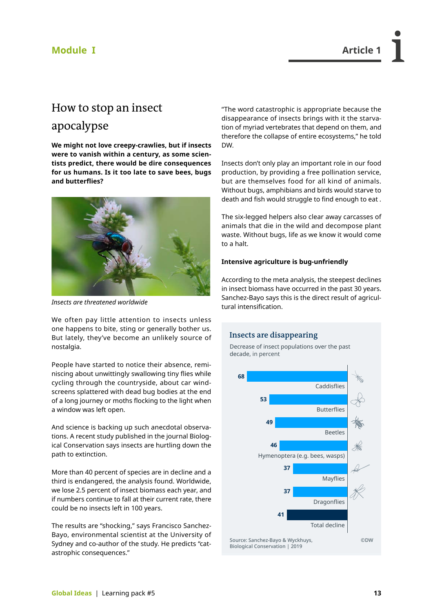### **Module I Article 1**

### How to stop an insect

### apocalypse

**We might not love creepy-crawlies, but if insects were to vanish within a century, as some scientists predict, there would be dire consequences for us humans. Is it too late to save bees, bugs and butterflies?**



*Insects are threatened worldwide*

We often pay little attention to insects unless one happens to bite, sting or generally bother us. But lately, they've become an unlikely source of nostalgia.

People have started to notice their absence, reminiscing about unwittingly swallowing tiny flies while cycling through the countryside, about car windscreens splattered with dead bug bodies at the end of a long journey or moths flocking to the light when a window was left open.

And science is backing up such anecdotal observations. A recent study published in the journal Biological Conservation says insects are hurtling down the path to extinction.

More than 40 percent of species are in decline and a third is endangered, the analysis found. Worldwide, we lose 2.5 percent of insect biomass each year, and if numbers continue to fall at their current rate, there could be no insects left in 100 years.

The results are "shocking," says Francisco Sanchez-Bayo, environmental scientist at the University of Sydney and co-author of the study. He predicts "catastrophic consequences."

"The word catastrophic is appropriate because the disappearance of insects brings with it the starvation of myriad vertebrates that depend on them, and therefore the collapse of entire ecosystems," he told DW.

Insects don't only play an important role in our food production, by providing a free pollination service, but are themselves food for all kind of animals. Without bugs, amphibians and birds would starve to death and fish would struggle to find enough to eat .

The six-legged helpers also clear away carcasses of animals that die in the wild and decompose plant waste. Without bugs, life as we know it would come to a halt.

#### **Intensive agriculture is bug-unfriendly**

According to the meta analysis, the steepest declines in insect biomass have occurred in the past 30 years. Sanchez-Bayo says this is the direct result of agricultural intensification.

### **Insects are disappearing**



Decrease of insect populations over the past decade, in percent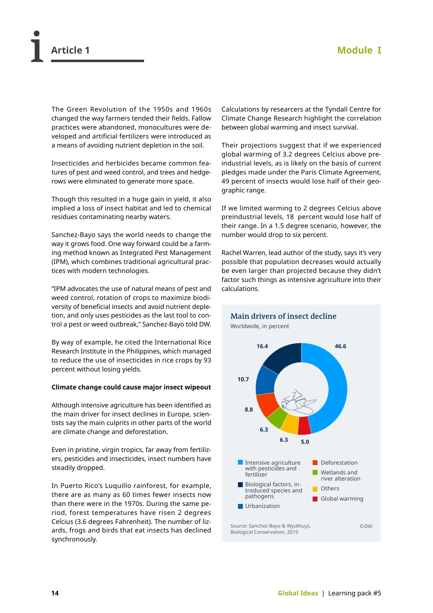The Green Revolution of the 1950s and 1960s changed the way farmers tended their fields. Fallow practices were abandoned, monocultures were developed and artificial fertilizers were introduced as a means of avoiding nutrient depletion in the soil.

Insecticides and herbicides became common features of pest and weed control, and trees and hedgerows were eliminated to generate more space.

Though this resulted in a huge gain in yield, it also implied a loss of insect habitat and led to chemical residues contaminating nearby waters.

Sanchez-Bayo says the world needs to change the way it grows food. One way forward could be a farming method known as Integrated Pest Management (IPM), which combines traditional agricultural practices with modern technologies.

"IPM advocates the use of natural means of pest and weed control, rotation of crops to maximize biodiversity of beneficial insects and avoid nutrient depletion, and only uses pesticides as the last tool to control a pest or weed outbreak," Sanchez-Bayo told DW.

By way of example, he cited the International Rice Research Institute in the Philippines, which managed to reduce the use of insecticides in rice crops by 93 percent without losing yields.

#### **Climate change could cause major insect wipeout**

Although intensive agriculture has been identified as the main driver for insect declines in Europe, scientists say the main culprits in other parts of the world are climate change and deforestation.

Even in pristine, virgin tropics, far away from fertilizers, pesticides and insecticides, insect numbers have steadily dropped.

In Puerto Rico's Luquillo rainforest, for example, there are as many as 60 times fewer insects now than there were in the 1970s. During the same period, forest temperatures have risen 2 degrees Celcius (3.6 degrees Fahrenheit). The number of lizards, frogs and birds that eat insects has declined synchronously.

Calculations by researcers at the Tyndall Centre for Climate Change Research highlight the correlation between global warming and insect survival.

Their projections suggest that if we experienced global warming of 3.2 degrees Celcius above preindustrial levels, as is likely on the basis of current pledges made under the Paris Climate Agreement, 49 percent of insects would lose half of their geographic range.

If we limited warming to 2 degrees Celcius above preindustrial levels, 18 percent would lose half of their range. In a 1.5 degree scenario, however, the number would drop to six percent.

Rachel Warren, lead author of the study, says it's very possible that population decreases would actually be even larger than projected because they didn't factor such things as intensive agriculture into their calculations.

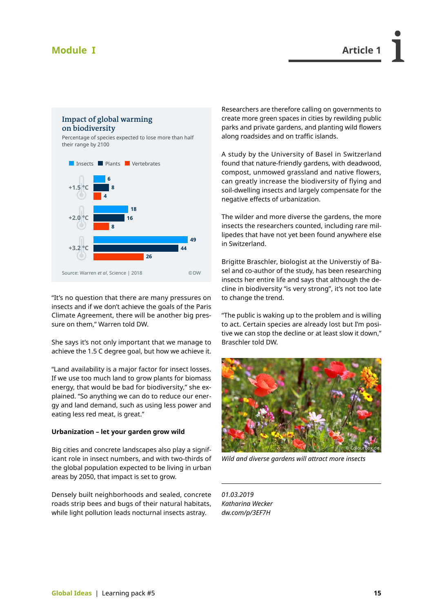### **Module I Article 1**



"It's no question that there are many pressures on insects and if we don't achieve the goals of the Paris Climate Agreement, there will be another big pressure on them," Warren told DW.

She says it's not only important that we manage to achieve the 1.5 C degree goal, but how we achieve it.

"Land availability is a major factor for insect losses. If we use too much land to grow plants for biomass energy, that would be bad for biodiversity," she explained. "So anything we can do to reduce our energy and land demand, such as using less power and eating less red meat, is great."

#### **Urbanization – let your garden grow wild**

Big cities and concrete landscapes also play a significant role in insect numbers, and with two-thirds of the global population expected to be living in urban areas by 2050, that impact is set to grow.

Densely built neighborhoods and sealed, concrete roads strip bees and bugs of their natural habitats, while light pollution leads nocturnal insects astray.

Researchers are therefore calling on governments to create more green spaces in cities by rewilding public parks and private gardens, and planting wild flowers along roadsides and on traffic islands.

A study by the University of Basel in Switzerland found that nature-friendly gardens, with deadwood, compost, unmowed grassland and native flowers, can greatly increase the biodiversity of flying and soil-dwelling insects and largely compensate for the negative effects of urbanization.

The wilder and more diverse the gardens, the more insects the researchers counted, including rare millipedes that have not yet been found anywhere else in Switzerland.

Brigitte Braschler, biologist at the Universtiy of Basel and co-author of the study, has been researching insects her entire life and says that although the decline in biodiversity "is very strong", it's not too late to change the trend.

"The public is waking up to the problem and is willing to act. Certain species are already lost but I'm positive we can stop the decline or at least slow it down," Braschler told DW.



*Wild and diverse gardens will attract more insects*

*01.03.2019 Katharina Wecker [dw.com/p/3EF7H](http://dw.com/p/3EF7H)*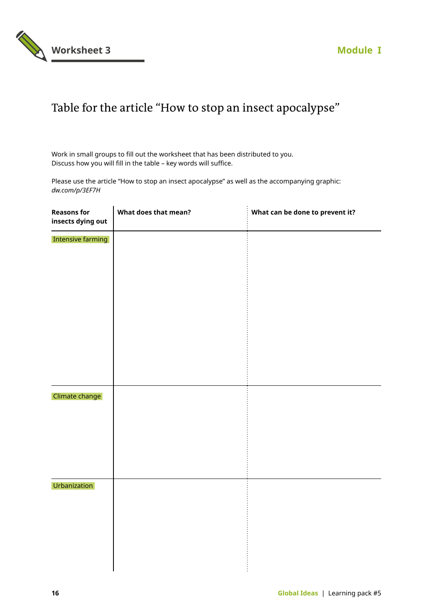

### Table for the article "How to stop an insect apocalypse"

Work in small groups to fill out the worksheet that has been distributed to you. Discuss how you will fill in the table – key words will suffice.

Please use the article "How to stop an insect apocalypse" as well as the accompanying graphic: *[dw.com/p/3EF7H](http://dw.com/p/3EF7H)*

| <b>Reasons for</b><br>insects dying out | What does that mean? | What can be done to prevent it? |
|-----------------------------------------|----------------------|---------------------------------|
| <b>Intensive farming</b>                |                      |                                 |
|                                         |                      |                                 |
|                                         |                      |                                 |
|                                         |                      |                                 |
|                                         |                      |                                 |
|                                         |                      |                                 |
|                                         |                      |                                 |
| Climate change                          |                      |                                 |
|                                         |                      |                                 |
|                                         |                      |                                 |
| Urbanization                            |                      |                                 |
|                                         |                      |                                 |
|                                         |                      |                                 |
|                                         |                      |                                 |
|                                         |                      |                                 |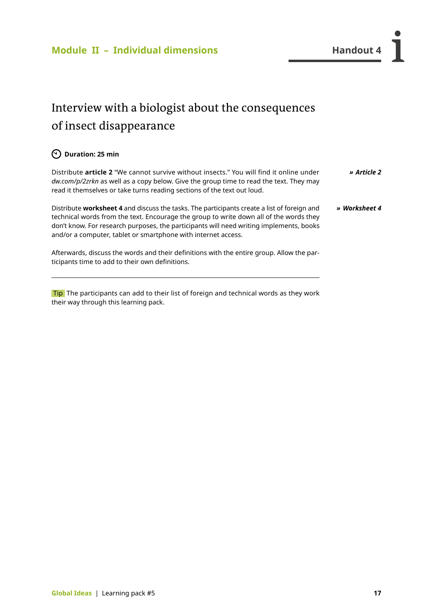### <span id="page-18-0"></span>Interview with a biologist about the consequences of insect disappearance

### **Duration: 25 min**

Distribute **article 2** "We cannot survive without insects." You will find it online under *[dw.com/p/2zrkn](http://p.dw.com/p/2zrkn)* as well as a copy below. Give the group time to read the text. They may read it themselves or take turns reading sections of the text out loud. *» [Article 2](http://dw.com/p/2zrkn)*

Distribute **worksheet 4** and discuss the tasks. The participants create a list of foreign and technical words from the text. Encourage the group to write down all of the words they don't know. For research purposes, the participants will need writing implements, books and/or a computer, tablet or smartphone with internet access. *» Worksheet 4*

Afterwards, discuss the words and their definitions with the entire group. Allow the participants time to add to their own definitions.

Tip The participants can add to their list of foreign and technical words as they work their way through this learning pack.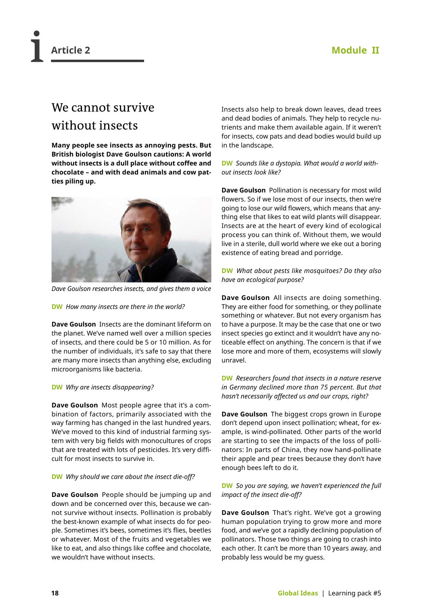### **Article 2 Module II**

### We cannot survive without insects

**Many people see insects as annoying pests. But British biologist Dave Goulson cautions: A world without insects is a dull place without coffee and chocolate – and with dead animals and cow patties piling up.**



*Dave Goulson researches insects, and gives them a voice*

#### **DW** *How many insects are there in the world?*

**Dave Goulson** Insects are the dominant lifeform on the planet. We've named well over a million species of insects, and there could be 5 or 10 million. As for the number of individuals, it's safe to say that there are many more insects than anything else, excluding microorganisms like bacteria.

### **DW** *Why are insects disappearing?*

**Dave Goulson** Most people agree that it's a combination of factors, primarily associated with the way farming has changed in the last hundred years. We've moved to this kind of industrial farming system with very big fields with monocultures of crops that are treated with lots of pesticides. It's very difficult for most insects to survive in.

### **DW** *Why should we care about the insect die-off?*

**Dave Goulson** People should be jumping up and down and be concerned over this, because we cannot survive without insects. Pollination is probably the best-known example of what insects do for people. Sometimes it's bees, sometimes it's flies, beetles or whatever. Most of the fruits and vegetables we like to eat, and also things like coffee and chocolate, we wouldn't have without insects.

Insects also help to break down leaves, dead trees and dead bodies of animals. They help to recycle nutrients and make them available again. If it weren't for insects, cow pats and dead bodies would build up in the landscape.

#### **DW** *Sounds like a dystopia. What would a world without insects look like?*

**Dave Goulson** Pollination is necessary for most wild flowers. So if we lose most of our insects, then we're going to lose our wild flowers, which means that anything else that likes to eat wild plants will disappear. Insects are at the heart of every kind of ecological process you can think of. Without them, we would live in a sterile, dull world where we eke out a boring existence of eating bread and porridge.

### **DW** *What about pests like mosquitoes? Do they also have an ecological purpose?*

**Dave Goulson** All insects are doing something. They are either food for something, or they pollinate something or whatever. But not every organism has to have a purpose. It may be the case that one or two insect species go extinct and it wouldn't have any noticeable effect on anything. The concern is that if we lose more and more of them, ecosystems will slowly unravel.

#### **DW** *Researchers found that insects in a nature reserve in Germany declined more than 75 percent. But that hasn't necessarily affected us and our crops, right?*

**Dave Goulson** The biggest crops grown in Europe don't depend upon insect pollination; wheat, for example, is wind-pollinated. Other parts of the world are starting to see the impacts of the loss of pollinators: In parts of China, they now hand-pollinate their apple and pear trees because they don't have enough bees left to do it.

### **DW** *So you are saying, we haven't experienced the full impact of the insect die-off?*

**Dave Goulson** That's right. We've got a growing human population trying to grow more and more food, and we've got a rapidly declining population of pollinators. Those two things are going to crash into each other. It can't be more than 10 years away, and probably less would be my guess.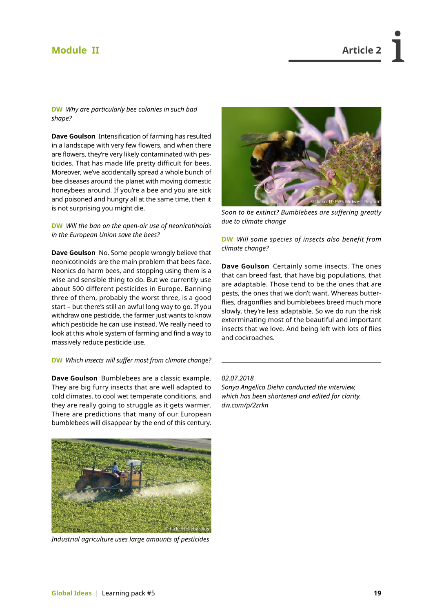### <span id="page-20-0"></span>**Module II Article 2**

**DW** *Why are particularly bee colonies in such bad shape?*

**Dave Goulson** Intensification of farming has resulted in a landscape with very few flowers, and when there are flowers, they're very likely contaminated with pesticides. That has made life pretty difficult for bees. Moreover, we've accidentally spread a whole bunch of bee diseases around the planet with moving domestic honeybees around. If you're a bee and you are sick and poisoned and hungry all at the same time, then it is not surprising you might die.

**DW** *Will the ban on the open-air use of neonicotinoids in the European Union save the bees?*

**Dave Goulson** No. Some people wrongly believe that neonicotinoids are the main problem that bees face. Neonics do harm bees, and stopping using them is a wise and sensible thing to do. But we currently use about 500 different pesticides in Europe. Banning three of them, probably the worst three, is a good start – but there's still an awful long way to go. If you withdraw one pesticide, the farmer just wants to know which pesticide he can use instead. We really need to look at this whole system of farming and find a way to massively reduce pesticide use.

#### **DW** *Which insects will suffer most from climate change?*

**Dave Goulson** Bumblebees are a classic example. They are big furry insects that are well adapted to cold climates, to cool wet temperate conditions, and they are really going to struggle as it gets warmer. There are predictions that many of our European bumblebees will disappear by the end of this century.



*Soon to be extinct? Bumblebees are suffering greatly due to climate change* 

**DW** *Will some species of insects also benefit from climate change?* 

**Dave Goulson** Certainly some insects. The ones that can breed fast, that have big populations, that are adaptable. Those tend to be the ones that are pests, the ones that we don't want. Whereas butterflies, dragonflies and bumblebees breed much more slowly, they're less adaptable. So we do run the risk exterminating most of the beautiful and important insects that we love. And being left with lots of flies and cockroaches.

### *02.07.2018*

*Sonya Angelica Diehn conducted the interview, which has been shortened and edited for clarity. [dw.com/p/2zrkn](http://p.dw.com/p/2zrkn)*



*Industrial agriculture uses large amounts of pesticides*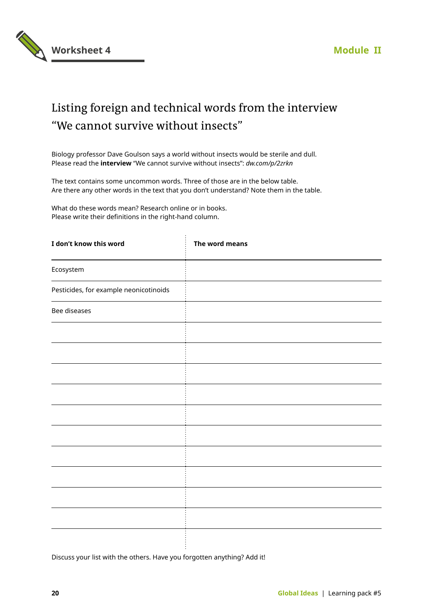

### Listing foreign and technical words from the interview "We cannot survive without insects"

Biology professor Dave Goulson says a world without insects would be sterile and dull. Please read the **interview** "We cannot survive without insects": *[dw.com/p/2zrkn](http://dw.com/p/2zrkn)*

The text contains some uncommon words. Three of those are in the below table. Are there any other words in the text that you don't understand? Note them in the table.

What do these words mean? Research online or in books. Please write their definitions in the right-hand column.

| I don't know this word                 | The word means |
|----------------------------------------|----------------|
| Ecosystem                              |                |
| Pesticides, for example neonicotinoids |                |
| Bee diseases                           |                |
|                                        |                |
|                                        |                |
|                                        |                |
|                                        |                |
|                                        |                |
|                                        |                |
|                                        |                |
|                                        |                |
|                                        |                |
|                                        |                |
|                                        |                |

Discuss your list with the others. Have you forgotten anything? Add it!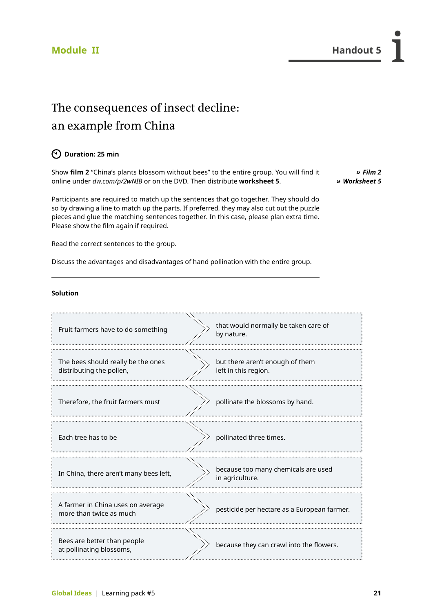*» [Film 2](http://dw.com/p/2wNIB)*

### The consequences of insect decline: an example from China

### **Duration: 25 min**

Show **film 2** "China's plants blossom without bees" to the entire group. You will find it online under *[dw.com/p/2wNIB](http://dw.com/p/2wNIB)* or on the DVD. Then distribute **worksheet 5**. *» Worksheet 5*

Participants are required to match up the sentences that go together. They should do so by drawing a line to match up the parts. If preferred, they may also cut out the puzzle pieces and glue the matching sentences together. In this case, please plan extra time. Please show the film again if required.

Read the correct sentences to the group.

Discuss the advantages and disadvantages of hand pollination with the entire group.

#### **Solution**

| Fruit farmers have to do something                             | that would normally be taken care of<br>by nature.      |
|----------------------------------------------------------------|---------------------------------------------------------|
| The bees should really be the ones<br>distributing the pollen, | but there aren't enough of them<br>left in this region. |
| Therefore, the fruit farmers must                              | pollinate the blossoms by hand.                         |
| Each tree has to be                                            | pollinated three times.                                 |
| In China, there aren't many bees left,                         | because too many chemicals are used<br>in agriculture.  |
| A farmer in China uses on average<br>more than twice as much   | pesticide per hectare as a European farmer.             |
| Bees are better than people<br>at pollinating blossoms,        | because they can crawl into the flowers.                |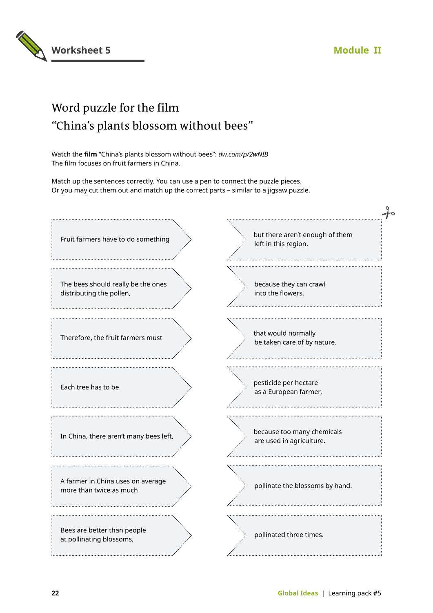

### Word puzzle for the film "China's plants blossom without bees"

Watch the **film** "China's plants blossom without bees": *[dw.com/p/2wNIB](http://p.dw.com/p/2wNIB)* The film focuses on fruit farmers in China.

Match up the sentences correctly. You can use a pen to connect the puzzle pieces. Or you may cut them out and match up the correct parts – similar to a jigsaw puzzle.

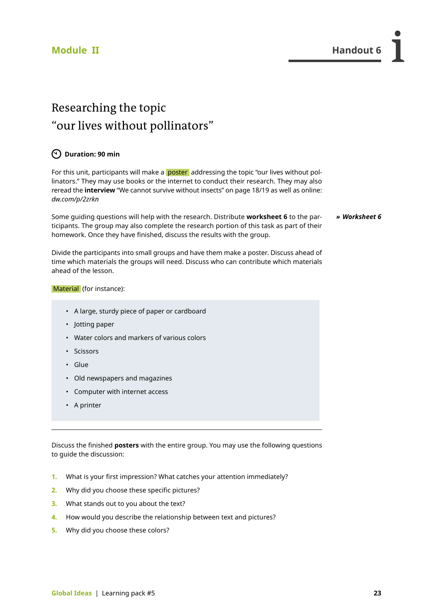### Researching the topic "our lives without pollinators"

### **Duration: 90 min**

For this unit, participants will make a **poster** addressing the topic "our lives without pollinators." They may use books or the internet to conduct their research. They may also reread the **interview** "We cannot survive without insects" on page 18/19 as well as online: *[dw.com/p/2zrkn](http://dw.com/p/2zrkn)*

Some guiding questions will help with the research. Distribute **worksheet 6** to the participants. The group may also complete the research portion of this task as part of their homework. Once they have finished, discuss the results with the group. *» Worksheet 6*

Divide the participants into small groups and have them make a poster. Discuss ahead of time which materials the groups will need. Discuss who can contribute which materials ahead of the lesson.

#### Material (for instance):

- A large, sturdy piece of paper or cardboard
- Jotting paper
- Water colors and markers of various colors
- Scissors
- Glue
- Old newspapers and magazines
- Computer with internet access
- A printer

Discuss the finished **posters** with the entire group. You may use the following questions to guide the discussion:

- **1.** What is your first impression? What catches your attention immediately?
- **2.** Why did you choose these specific pictures?
- **3.** What stands out to you about the text?
- **4.** How would you describe the relationship between text and pictures?
- **5.** Why did you choose these colors?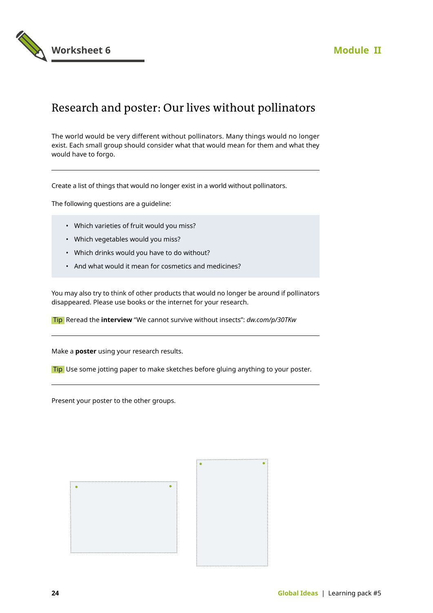

### Research and poster: Our lives without pollinators

The world would be very different without pollinators. Many things would no longer exist. Each small group should consider what that would mean for them and what they would have to forgo.

Create a list of things that would no longer exist in a world without pollinators.

The following questions are a guideline:

- Which varieties of fruit would you miss?
- Which vegetables would you miss?
- Which drinks would you have to do without?
- And what would it mean for cosmetics and medicines?

You may also try to think of other products that would no longer be around if pollinators disappeared. Please use books or the internet for your research.

Tip Reread the **interview** "We cannot survive without insects": *[dw.com/p/30TKw](http://dw.com/p/30TKw)*

Make a **poster** using your research results.

Tip Use some jotting paper to make sketches before gluing anything to your poster.

Present your poster to the other groups.

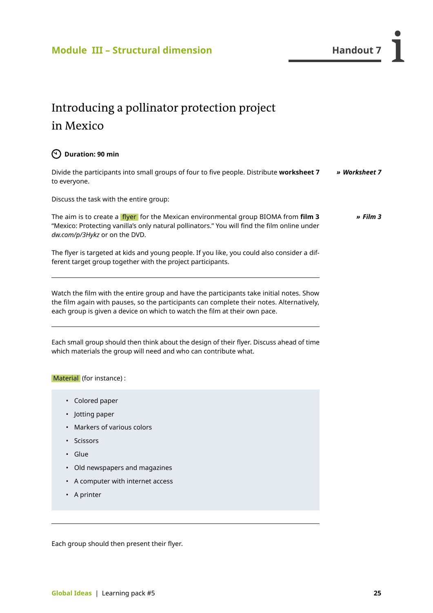*» [Film 3](http://dw.com/p/3Hykz)*

### <span id="page-26-0"></span>Introducing a pollinator protection project in Mexico

### **Duration: 90 min**

Divide the participants into small groups of four to five people. Distribute **worksheet 7**  to everyone. *» Worksheet 7*

Discuss the task with the entire group:

The aim is to create a flyer for the Mexican environmental group BIOMA from **film 3** "Mexico: Protecting vanilla's only natural pollinators." You will find the film online under *[dw.com/p/3Hykz](http://dw.com/p/3Hykz)* or on the DVD.

The flyer is targeted at kids and young people. If you like, you could also consider a different target group together with the project participants.

Watch the film with the entire group and have the participants take initial notes. Show the film again with pauses, so the participants can complete their notes. Alternatively, each group is given a device on which to watch the film at their own pace.

Each small group should then think about the design of their flyer. Discuss ahead of time which materials the group will need and who can contribute what.

Material (for instance) :

- Colored paper
- Jotting paper
- Markers of various colors
- Scissors
- Glue
- Old newspapers and magazines
- A computer with internet access
- A printer

Each group should then present their flyer.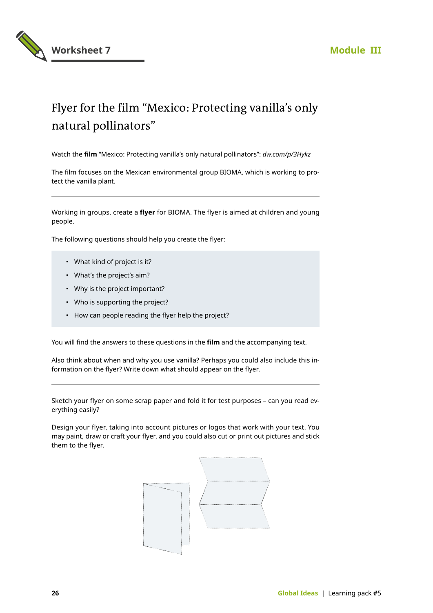



### Flyer for the film "Mexico: Protecting vanilla's only natural pollinators"

Watch the **film** "Mexico: Protecting vanilla's only natural pollinators": *[dw.com/p/3Hykz](http://dw.com/p/3Hykz)*

The film focuses on the Mexican environmental group BIOMA, which is working to protect the vanilla plant.

Working in groups, create a **flyer** for BIOMA. The flyer is aimed at children and young people.

The following questions should help you create the flyer:

- What kind of project is it?
- What's the project's aim?
- Why is the project important?
- Who is supporting the project?
- How can people reading the flyer help the project?

You will find the answers to these questions in the **film** and the accompanying text.

Also think about when and why you use vanilla? Perhaps you could also include this information on the flyer? Write down what should appear on the flyer.

Sketch your flyer on some scrap paper and fold it for test purposes – can you read everything easily?

Design your flyer, taking into account pictures or logos that work with your text. You may paint, draw or craft your flyer, and you could also cut or print out pictures and stick them to the flyer.

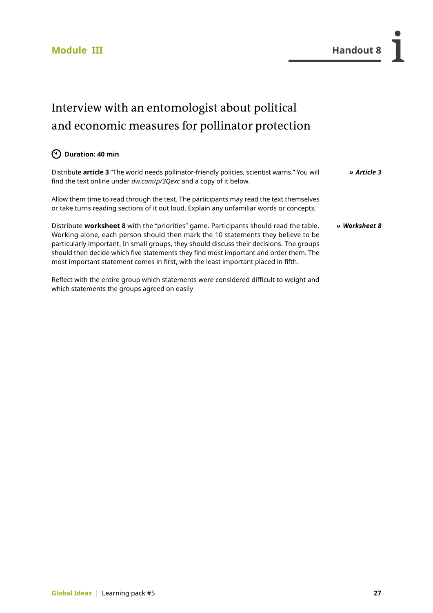## Interview with an entomologist about political and economic measures for pollinator protection

### **Duration: 40 min**

| Distribute article 3 "The world needs pollinator-friendly policies, scientist warns." You will<br>find the text online under dw.com/p/3Qexc and a copy of it below.                                                                                                                                                                                                                                                                                   | » Article 3   |
|-------------------------------------------------------------------------------------------------------------------------------------------------------------------------------------------------------------------------------------------------------------------------------------------------------------------------------------------------------------------------------------------------------------------------------------------------------|---------------|
| Allow them time to read through the text. The participants may read the text themselves<br>or take turns reading sections of it out loud. Explain any unfamiliar words or concepts.                                                                                                                                                                                                                                                                   |               |
| Distribute worksheet 8 with the "priorities" game. Participants should read the table.<br>Working alone, each person should then mark the 10 statements they believe to be<br>particularly important. In small groups, they should discuss their decisions. The groups<br>should then decide which five statements they find most important and order them. The<br>most important statement comes in first, with the least important placed in fifth. | » Worksheet 8 |
| Reflect with the entire group which statements were considered difficult to weight and                                                                                                                                                                                                                                                                                                                                                                |               |

which statements the groups agreed on easily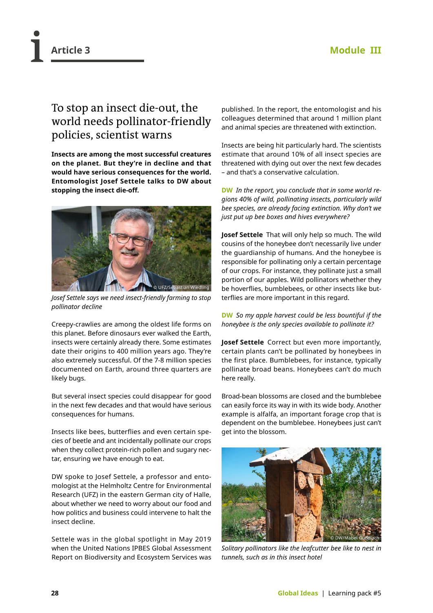### To stop an insect die-out, the world needs pollinator-friendly policies, scientist warns

**Insects are among the most successful creatures on the planet. But they're in decline and that would have serious consequences for the world. Entomologist Josef Settele talks to DW about stopping the insect die-off.**



*Josef Settele says we need insect-friendly farming to stop pollinator decline* 

Creepy-crawlies are among the oldest life forms on this planet. Before dinosaurs ever walked the Earth, insects were certainly already there. Some estimates date their origins to 400 million years ago. They're also extremely successful. Of the 7-8 million species documented on Earth, around three quarters are likely bugs.

But several insect species could disappear for good in the next few decades and that would have serious consequences for humans.

Insects like bees, butterflies and even certain species of beetle and ant incidentally pollinate our crops when they collect protein-rich pollen and sugary nectar, ensuring we have enough to eat.

DW spoke to Josef Settele, a professor and entomologist at the Helmholtz Centre for Environmental Research (UFZ) in the eastern German city of Halle, about whether we need to worry about our food and how politics and business could intervene to halt the insect decline.

Settele was in the global spotlight in May 2019 when the United Nations IPBES Global Assessment Report on Biodiversity and Ecosystem Services was

published. In the report, the entomologist and his colleagues determined that around 1 million plant and animal species are threatened with extinction.

Insects are being hit particularly hard. The scientists estimate that around 10% of all insect species are threatened with dying out over the next few decades – and that's a conservative calculation.

**DW** *In the report, you conclude that in some world regions 40% of wild, pollinating insects, particularly wild bee species, are already facing extinction. Why don't we just put up bee boxes and hives everywhere?*

**Josef Settele** That will only help so much. The wild cousins of the honeybee don't necessarily live under the guardianship of humans. And the honeybee is responsible for pollinating only a certain percentage of our crops. For instance, they pollinate just a small portion of our apples. Wild pollinators whether they be hoverflies, bumblebees, or other insects like butterflies are more important in this regard.

**DW** *So my apple harvest could be less bountiful if the honeybee is the only species available to pollinate it?*

**Josef Settele** Correct but even more importantly, certain plants can't be pollinated by honeybees in the first place. Bumblebees, for instance, typically pollinate broad beans. Honeybees can't do much here really.

Broad-bean blossoms are closed and the bumblebee can easily force its way in with its wide body. Another example is alfalfa, an important forage crop that is dependent on the bumblebee. Honeybees just can't get into the blossom.



*Solitary pollinators like the leafcutter bee like to nest in tunnels, such as in this insect hotel*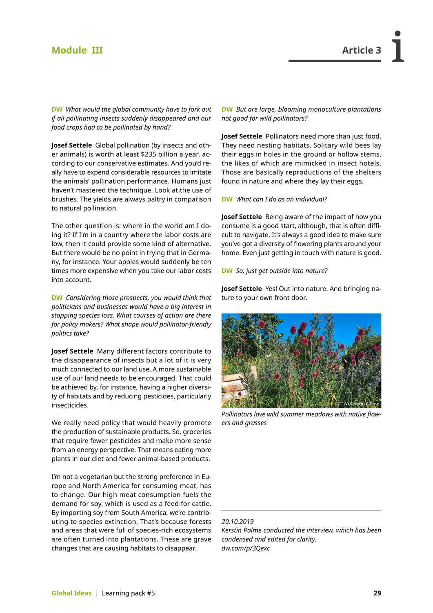### **Module III Article 3**

**DW** *What would the global community have to fork out if all pollinating insects suddenly disappeared and our food crops had to be pollinated by hand?* 

**Josef Settele** Global pollination (by insects and other animals) is worth at least \$235 billion a year, according to our conservative estimates. And you'd really have to expend considerable resources to imitate the animals' pollination performance. Humans just haven't mastered the technique. Look at the use of brushes. The yields are always paltry in comparison to natural pollination.

The other question is: where in the world am I doing it? If I'm in a country where the labor costs are low, then it could provide some kind of alternative. But there would be no point in trying that in Germany, for instance. Your apples would suddenly be ten times more expensive when you take our labor costs into account.

**DW** *Considering those prospects, you would think that politicians and businesses would have a big interest in stopping species loss. What courses of action are there for policy makers? What shape would pollinator-friendly politics take?*

**Josef Settele** Many different factors contribute to the disappearance of insects but a lot of it is very much connected to our land use. A more sustainable use of our land needs to be encouraged. That could be achieved by, for instance, having a higher diversity of habitats and by reducing pesticides, particularly insecticides.

We really need policy that would heavily promote the production of sustainable products. So, groceries that require fewer pesticides and make more sense from an energy perspective. That means eating more plants in our diet and fewer animal-based products.

I'm not a vegetarian but the strong preference in Europe and North America for consuming meat, has to change. Our high meat consumption fuels the demand for soy, which is used as a feed for cattle. By importing soy from South America, we're contributing to species extinction. That's because forests and areas that were full of species-rich ecosystems are often turned into plantations. These are grave changes that are causing habitats to disappear.

**DW** *But are large, blooming monoculture plantations not good for wild pollinators?*

**Josef Settele** Pollinators need more than just food. They need nesting habitats. Solitary wild bees lay their eggs in holes in the ground or hollow stems, the likes of which are mimicked in insect hotels. Those are basically reproductions of the shelters found in nature and where they lay their eggs.

#### **DW** *What can I do as an individual?*

**Josef Settele** Being aware of the impact of how you consume is a good start, although, that is often difficult to navigate. It's always a good idea to make sure you've got a diversity of flowering plants around your home. Even just getting in touch with nature is good.

#### **DW** *So, just get outside into nature?*

**Josef Settele** Yes! Out into nature. And bringing nature to your own front door.



*Pollinators love wild summer meadows with native flowers and grasses*

### *20.10.2019*

*Kerstin Palme conducted the interview, which has been condensed and edited for clarity. [dw.com/p/3Qexc](http://dw.com/p/3Qexc)*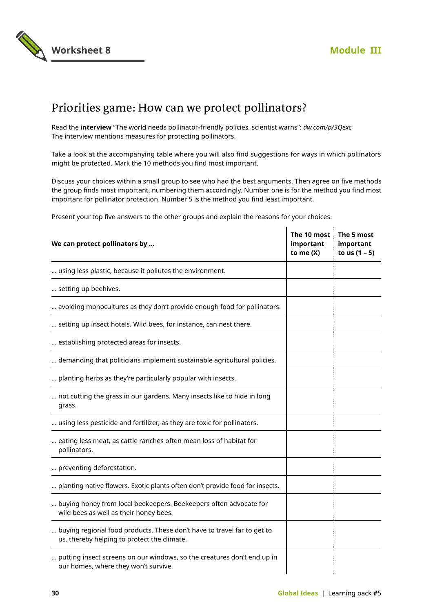

### Priorities game: How can we protect pollinators?

Read the **interview** "The world needs pollinator-friendly policies, scientist warns": *[dw.com/p/3Qexc](http://dw.com/p/3Qexc)* The interview mentions measures for protecting pollinators.

Take a look at the accompanying table where you will also find suggestions for ways in which pollinators might be protected. Mark the 10 methods you find most important.

Discuss your choices within a small group to see who had the best arguments. Then agree on five methods the group finds most important, numbering them accordingly. Number one is for the method you find most important for pollinator protection. Number 5 is the method you find least important.

 $\mathbf{I}$ 

 $\mathcal{L}$ 

Present your top five answers to the other groups and explain the reasons for your choices.

| We can protect pollinators by                                                                                          | The 10 most The 5 most<br>important<br>to me $(X)$ | important<br>to us $(1 - 5)$ |
|------------------------------------------------------------------------------------------------------------------------|----------------------------------------------------|------------------------------|
| using less plastic, because it pollutes the environment.                                                               |                                                    |                              |
| setting up beehives.                                                                                                   |                                                    |                              |
| avoiding monocultures as they don't provide enough food for pollinators.                                               |                                                    |                              |
| setting up insect hotels. Wild bees, for instance, can nest there.                                                     |                                                    |                              |
| establishing protected areas for insects.                                                                              |                                                    |                              |
| demanding that politicians implement sustainable agricultural policies.                                                |                                                    |                              |
| planting herbs as they're particularly popular with insects.                                                           |                                                    |                              |
| not cutting the grass in our gardens. Many insects like to hide in long<br>grass.                                      |                                                    |                              |
| using less pesticide and fertilizer, as they are toxic for pollinators.                                                |                                                    |                              |
| eating less meat, as cattle ranches often mean loss of habitat for<br>pollinators.                                     |                                                    |                              |
| preventing deforestation.                                                                                              |                                                    |                              |
| planting native flowers. Exotic plants often don't provide food for insects.                                           |                                                    |                              |
| buying honey from local beekeepers. Beekeepers often advocate for<br>wild bees as well as their honey bees.            |                                                    |                              |
| buying regional food products. These don't have to travel far to get to<br>us, thereby helping to protect the climate. |                                                    |                              |
| putting insect screens on our windows, so the creatures don't end up in<br>our homes, where they won't survive.        |                                                    |                              |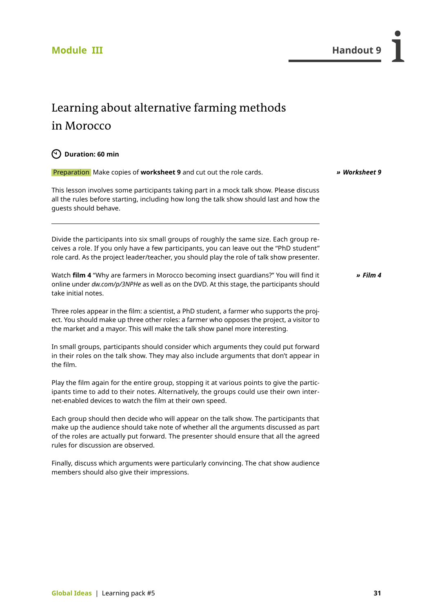### <span id="page-32-0"></span>Learning about alternative farming methods in Morocco

### **Duration: 60 min**

take initial notes.

 Preparation Make copies of **worksheet 9** and cut out the role cards. This lesson involves some participants taking part in a mock talk show. Please discuss all the rules before starting, including how long the talk show should last and how the guests should behave. Divide the participants into six small groups of roughly the same size. Each group receives a role. If you only have a few participants, you can leave out the "PhD student" role card. As the project leader/teacher, you should play the role of talk show presenter. Watch **film 4** "Why are farmers in Morocco becoming insect guardians?" You will find it online under *[dw.com/p/3NPHe](http://dw.com/p/3NPHe)* as well as on the DVD. At this stage, the participants should *» Worksheet 9 » [Film 4](http://dw.com/p/3NPHe)*

Three roles appear in the film: a scientist, a PhD student, a farmer who supports the project. You should make up three other roles: a farmer who opposes the project, a visitor to the market and a mayor. This will make the talk show panel more interesting.

In small groups, participants should consider which arguments they could put forward in their roles on the talk show. They may also include arguments that don't appear in the film.

Play the film again for the entire group, stopping it at various points to give the participants time to add to their notes. Alternatively, the groups could use their own internet-enabled devices to watch the film at their own speed.

Each group should then decide who will appear on the talk show. The participants that make up the audience should take note of whether all the arguments discussed as part of the roles are actually put forward. The presenter should ensure that all the agreed rules for discussion are observed.

Finally, discuss which arguments were particularly convincing. The chat show audience members should also give their impressions.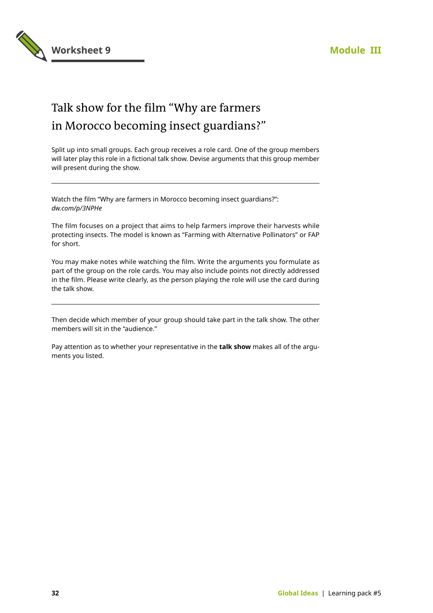

### Talk show for the film "Why are farmers in Morocco becoming insect guardians?"

Split up into small groups. Each group receives a role card. One of the group members will later play this role in a fictional talk show. Devise arguments that this group member will present during the show.

Watch the film "Why are farmers in Morocco becoming insect guardians?": *[dw.com/p/3NPHe](http://dw.com/p/3NPHe)*

The film focuses on a project that aims to help farmers improve their harvests while protecting insects. The model is known as "Farming with Alternative Pollinators" or FAP for short.

You may make notes while watching the film. Write the arguments you formulate as part of the group on the role cards. You may also include points not directly addressed in the film. Please write clearly, as the person playing the role will use the card during the talk show.

Then decide which member of your group should take part in the talk show. The other members will sit in the "audience."

Pay attention as to whether your representative in the **talk show** makes all of the arguments you listed.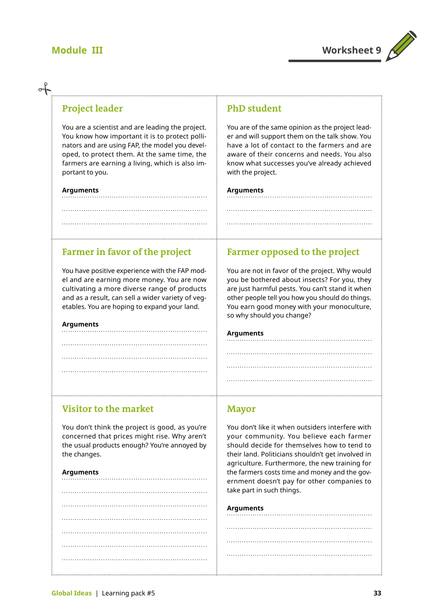

### **Project leader**

You are a scientist and are leading the project. You know how important it is to protect pollinators and are using FAP, the model you developed, to protect them. At the same time, the farmers are earning a living, which is also important to you.

#### **Arguments**

### **PhD student**

You are of the same opinion as the project leader and will support them on the talk show. You have a lot of contact to the farmers and are aware of their concerns and needs. You also know what successes you've already achieved with the project.

**Farmer opposed to the project** 

You are not in favor of the project. Why would you be bothered about insects? For you, they are just harmful pests. You can't stand it when other people tell you how you should do things. You earn good money with your monoculture,

### **Arguments**

### **Farmer in favor of the project**

You have positive experience with the FAP model and are earning more money. You are now cultivating a more diverse range of products and as a result, can sell a wider variety of vegetables. You are hoping to expand your land.

#### **Arguments**

so why should you change?

### **Arguments**

### **Visitor to the market**

You don't think the project is good, as you're concerned that prices might rise. Why aren't the usual products enough? You're annoyed by the changes.

#### **Arguments**

### **Mayor**

You don't like it when outsiders interfere with your community. You believe each farmer should decide for themselves how to tend to their land. Politicians shouldn't get involved in agriculture. Furthermore, the new training for the farmers costs time and money and the government doesn't pay for other companies to take part in such things.

#### **Arguments**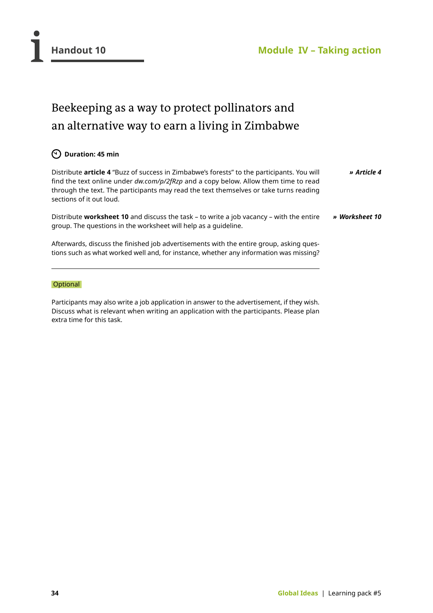<span id="page-35-0"></span>

### Beekeeping as a way to protect pollinators and an alternative way to earn a living in Zimbabwe

### **Duration: 45 min**

Distribute **article 4** "Buzz of success in Zimbabwe's forests" to the participants. You will find the text online under *[dw.com/p/2fRzp](http://dw.com/p/2fRzp)* and a copy below. Allow them time to read through the text. The participants may read the text themselves or take turns reading sections of it out loud. *» [Article 4](http://dw.com/p/2fRzp)*

Distribute **worksheet 10** and discuss the task – to write a job vacancy – with the entire group. The questions in the worksheet will help as a guideline. *» Worksheet 10*

Afterwards, discuss the finished job advertisements with the entire group, asking questions such as what worked well and, for instance, whether any information was missing?

### **Optional**

Participants may also write a job application in answer to the advertisement, if they wish. Discuss what is relevant when writing an application with the participants. Please plan extra time for this task.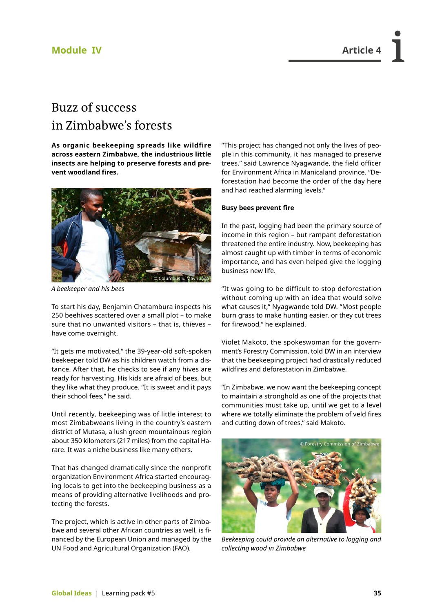### **Module IV Article 4**

### Buzz of success in Zimbabwe's forests

**As organic beekeeping spreads like wildfire across eastern Zimbabwe, the industrious little insects are helping to preserve forests and prevent woodland fires.**



*A beekeeper and his bees*

To start his day, Benjamin Chatambura inspects his 250 beehives scattered over a small plot – to make sure that no unwanted visitors – that is, thieves – have come overnight.

"It gets me motivated," the 39-year-old soft-spoken beekeeper told DW as his children watch from a distance. After that, he checks to see if any hives are ready for harvesting. His kids are afraid of bees, but they like what they produce. "It is sweet and it pays their school fees," he said.

Until recently, beekeeping was of little interest to most Zimbabweans living in the country's eastern district of Mutasa, a lush green mountainous region about 350 kilometers (217 miles) from the capital Harare. It was a niche business like many others.

That has changed dramatically since the nonprofit organization Environment Africa started encouraging locals to get into the beekeeping business as a means of providing alternative livelihoods and protecting the forests.

The project, which is active in other parts of Zimbabwe and several other African countries as well, is financed by the European Union and managed by the UN Food and Agricultural Organization (FAO).

"This project has changed not only the lives of people in this community, it has managed to preserve trees," said Lawrence Nyagwande, the field officer for Environment Africa in Manicaland province. "Deforestation had become the order of the day here and had reached alarming levels."

#### **Busy bees prevent fire**

In the past, logging had been the primary source of income in this region – but rampant deforestation threatened the entire industry. Now, beekeeping has almost caught up with timber in terms of economic importance, and has even helped give the logging business new life.

"It was going to be difficult to stop deforestation without coming up with an idea that would solve what causes it," Nyagwande told DW. "Most people burn grass to make hunting easier, or they cut trees for firewood," he explained.

Violet Makoto, the spokeswoman for the government's Forestry Commission, told DW in an interview that the beekeeping project had drastically reduced wildfires and deforestation in Zimbabwe.

"In Zimbabwe, we now want the beekeeping concept to maintain a stronghold as one of the projects that communities must take up, until we get to a level where we totally eliminate the problem of veld fires and cutting down of trees," said Makoto.



*Beekeeping could provide an alternative to logging and collecting wood in Zimbabwe*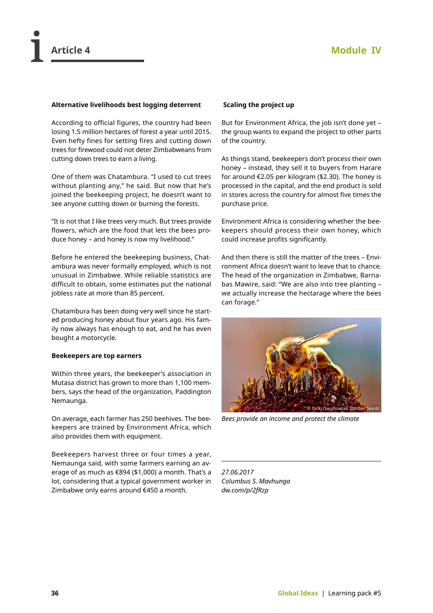

#### **Alternative livelihoods best logging deterrent**

According to official figures, the country had been losing 1.5 million hectares of forest a year until 2015. Even hefty fines for setting fires and cutting down trees for firewood could not deter Zimbabweans from cutting down trees to earn a living.

One of them was Chatambura. "I used to cut trees without planting any," he said. But now that he's joined the beekeeping project, he doesn't want to see anyone cutting down or burning the forests.

"It is not that I like trees very much. But trees provide flowers, which are the food that lets the bees produce honey – and honey is now my livelihood."

Before he entered the beekeeping business, Chatambura was never formally employed, which is not unusual in Zimbabwe. While reliable statistics are difficult to obtain, some estimates put the national jobless rate at more than 85 percent.

Chatambura has been doing very well since he started producing honey about four years ago. His family now always has enough to eat, and he has even bought a motorcycle.

#### **Beekeepers are top earners**

Within three years, the beekeeper's association in Mutasa district has grown to more than 1,100 members, says the head of the organization, Paddington Nemaunga.

On average, each farmer has 250 beehives. The beekeepers are trained by Environment Africa, which also provides them with equipment.

Beekeepers harvest three or four times a year, Nemaunga said, with some farmers earning an average of as much as €894 (\$1,000) a month. That's a lot, considering that a typical government worker in Zimbabwe only earns around €450 a month.

### **Scaling the project up**

But for Environment Africa, the job isn't done yet – the group wants to expand the project to other parts of the country.

As things stand, beekeepers don't process their own honey – instead, they sell it to buyers from Harare for around €2.05 per kilogram (\$2.30). The honey is processed in the capital, and the end product is sold in stores across the country for almost five times the purchase price.

Environment Africa is considering whether the beekeepers should process their own honey, which could increase profits significantly.

And then there is still the matter of the trees – Environment Africa doesn't want to leave that to chance. The head of the organization in Zimbabwe, Barnabas Mawire, said: "We are also into tree planting – we actually increase the hectarage where the bees can forage."



*Bees provide an income and protect the climate*

*27.06.2017 Columbus S. Mavhunga [dw.com/p/2fRzp](http://dw.com/p/2fRzp)*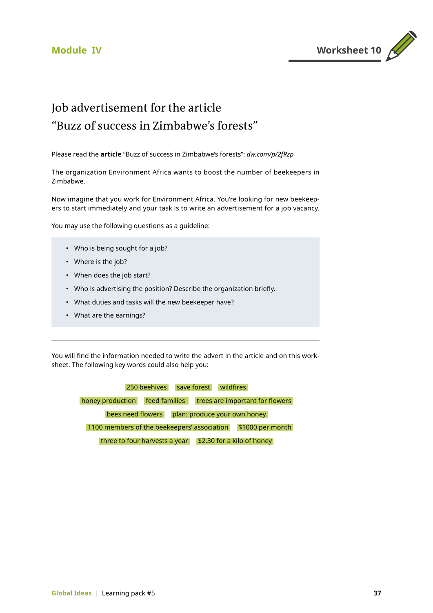

### Job advertisement for the article "Buzz of success in Zimbabwe's forests"

Please read the **article** "Buzz of success in Zimbabwe's forests": *[dw.com/p/2fRzp](http://dw.com/p/2fRzp)*

The organization Environment Africa wants to boost the number of beekeepers in Zimbabwe.

Now imagine that you work for Environment Africa. You're looking for new beekeepers to start immediately and your task is to write an advertisement for a job vacancy.

You may use the following questions as a guideline:

- Who is being sought for a job?
- Where is the job?
- When does the job start?
- Who is advertising the position? Describe the organization briefly.
- What duties and tasks will the new beekeeper have?
- What are the earnings?

You will find the information needed to write the advert in the article and on this worksheet. The following key words could also help you:

> 250 beehives save forest wildfires honey production feed families trees are important for flowers bees need flowers plan: produce your own honey 1100 members of the beekeepers' association \$1000 per month three to four harvests a year  $\frac{1}{2}$  \$2.30 for a kilo of honey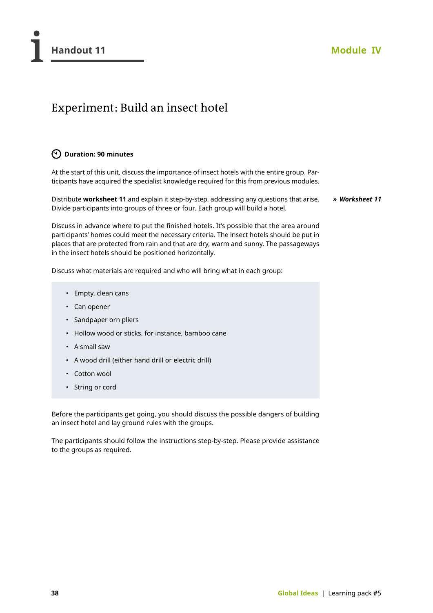### Experiment: Build an insect hotel

### **Duration: 90 minutes**

At the start of this unit, discuss the importance of insect hotels with the entire group. Participants have acquired the specialist knowledge required for this from previous modules.

Distribute **worksheet 11** and explain it step-by-step, addressing any questions that arise. Divide participants into groups of three or four. Each group will build a hotel.

*» Worksheet 11*

Discuss in advance where to put the finished hotels. It's possible that the area around participants' homes could meet the necessary criteria. The insect hotels should be put in places that are protected from rain and that are dry, warm and sunny. The passageways in the insect hotels should be positioned horizontally.

Discuss what materials are required and who will bring what in each group:

- Empty, clean cans
- Can opener
- Sandpaper orn pliers
- Hollow wood or sticks, for instance, bamboo cane
- A small saw
- A wood drill (either hand drill or electric drill)
- Cotton wool
- String or cord

Before the participants get going, you should discuss the possible dangers of building an insect hotel and lay ground rules with the groups.

The participants should follow the instructions step-by-step. Please provide assistance to the groups as required.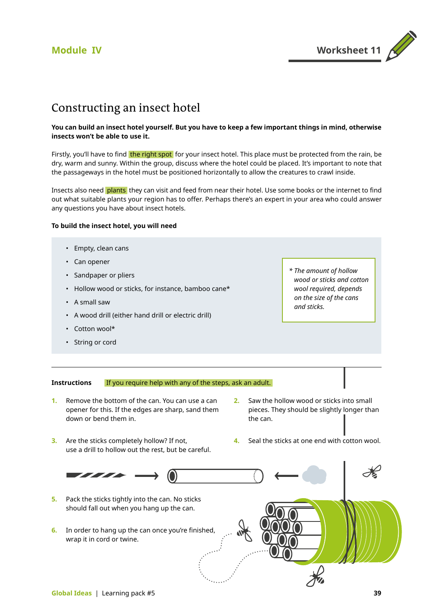

### Constructing an insect hotel

#### **You can build an insect hotel yourself. But you have to keep a few important things in mind, otherwise insects won't be able to use it.**

Firstly, you'll have to find the right spot for your insect hotel. This place must be protected from the rain, be dry, warm and sunny. Within the group, discuss where the hotel could be placed. It's important to note that the passageways in the hotel must be positioned horizontally to allow the creatures to crawl inside.

Insects also need **plants** they can visit and feed from near their hotel. Use some books or the internet to find out what suitable plants your region has to offer. Perhaps there's an expert in your area who could answer any questions you have about insect hotels.

#### **To build the insect hotel, you will need**

- Empty, clean cans
- Can opener
- Sandpaper or pliers
- Hollow wood or sticks, for instance, bamboo cane\*
- A small saw
- A wood drill (either hand drill or electric drill)
- Cotton wool\*
- String or cord

*\* The amount of hollow wood or sticks and cotton wool required, depends on the size of the cans and sticks.*

#### **Instructions**  If you require help with any of the steps, ask an adult.

- **1.** Remove the bottom of the can. You can use a can opener for this. If the edges are sharp, sand them down or bend them in.
- **2.** Saw the hollow wood or sticks into small pieces. They should be slightly longer than the can.
- **3.** Are the sticks completely hollow? If not, use a drill to hollow out the rest, but be careful.
- **4.** Seal the sticks at one end with cotton wool.

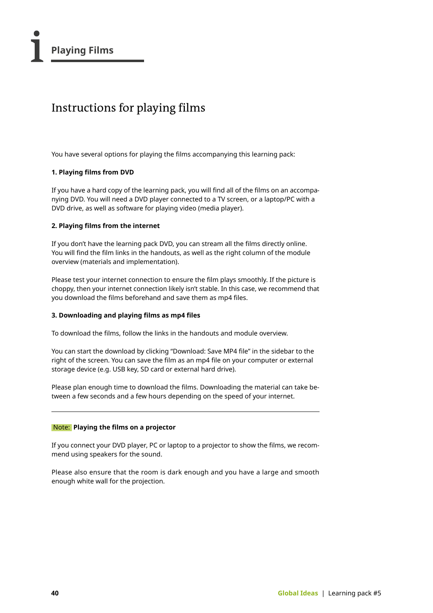### Instructions for playing films

You have several options for playing the films accompanying this learning pack:

#### **1. Playing films from DVD**

If you have a hard copy of the learning pack, you will find all of the films on an accompanying DVD. You will need a DVD player connected to a TV screen, or a laptop/PC with a DVD drive, as well as software for playing video (media player).

#### **2. Playing films from the internet**

If you don't have the learning pack DVD, you can stream all the films directly online. You will find the film links in the handouts, as well as the right column of the module overview (materials and implementation).

Please test your internet connection to ensure the film plays smoothly. If the picture is choppy, then your internet connection likely isn't stable. In this case, we recommend that you download the films beforehand and save them as mp4 files.

### **3. Downloading and playing films as mp4 files**

To download the films, follow the links in the handouts and module overview.

You can start the download by clicking "Download: Save MP4 file" in the sidebar to the right of the screen. You can save the film as an mp4 file on your computer or external storage device (e.g. USB key, SD card or external hard drive).

Please plan enough time to download the films. Downloading the material can take between a few seconds and a few hours depending on the speed of your internet.

### Note: **Playing the films on a projector**

If you connect your DVD player, PC or laptop to a projector to show the films, we recommend using speakers for the sound.

Please also ensure that the room is dark enough and you have a large and smooth enough white wall for the projection.